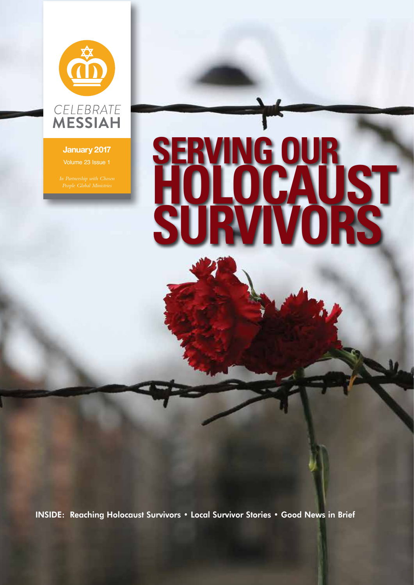

### **January 2017**

# **SERVING OUR HOLOCAUST SURVIVORS**

INSIDE: Reaching Holocaust Survivors • Local Survivor Stories • Good News in Brief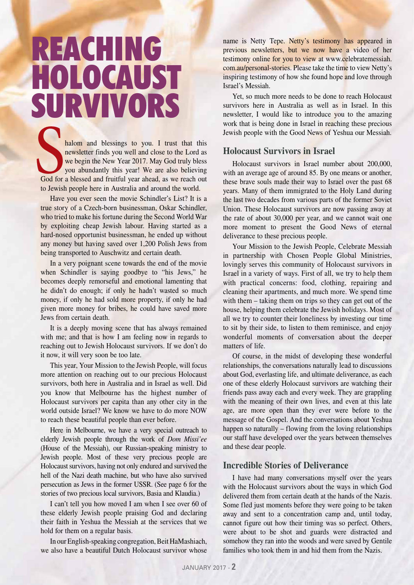## REACHING HOLOCAUST SURVIVORS

halom and blessings to you. I trust that this newsletter finds you well and close to the Lord as we begin the New Year 2017. May God truly bless you abundantly this year! We are also believing God for a blessed and fruitful year ahead, as we reach out to Jewish people here in Australia and around the world. Sod for

Have you ever seen the movie Schindler's List? It is a true story of a Czech-born businessman, Oskar Schindler, who tried to make his fortune during the Second World War by exploiting cheap Jewish labour. Having started as a hard-nosed opportunist businessman, he ended up without any money but having saved over 1,200 Polish Jews from being transported to Auschwitz and certain death.

In a very poignant scene towards the end of the movie when Schindler is saying goodbye to "his Jews," he becomes deeply remorseful and emotional lamenting that he didn't do enough; if only he hadn't wasted so much money, if only he had sold more property, if only he had given more money for bribes, he could have saved more Jews from certain death.

It is a deeply moving scene that has always remained with me; and that is how I am feeling now in regards to reaching out to Jewish Holocaust survivors. If we don't do it now, it will very soon be too late.

This year, Your Mission to the Jewish People, will focus more attention on reaching out to our precious Holocaust survivors, both here in Australia and in Israel as well. Did you know that Melbourne has the highest number of Holocaust survivors per capita than any other city in the world outside Israel? We know we have to do more NOW to reach these beautiful people than ever before.

Here in Melbourne, we have a very special outreach to elderly Jewish people through the work of *Dom Missi'ee* (House of the Messiah), our Russian-speaking ministry to Jewish people. Most of these very precious people are Holocaust survivors, having not only endured and survived the hell of the Nazi death machine, but who have also survived persecution as Jews in the former USSR. (See page 6 for the stories of two precious local survivors, Basia and Klaudia.)

I can't tell you how moved I am when I see over 60 of these elderly Jewish people praising God and declaring their faith in Yeshua the Messiah at the services that we hold for them on a regular basis.

In our English-speaking congregation, Beit HaMashiach, we also have a beautiful Dutch Holocaust survivor whose name is Netty Tepe. Netty's testimony has appeared in previous newsletters, but we now have a video of her testimony online for you to view at www.celebratemessiah. com.au/personal-stories. Please take the time to view Netty's inspiring testimony of how she found hope and love through Israel's Messiah.

Yet, so much more needs to be done to reach Holocaust survivors here in Australia as well as in Israel. In this newsletter, I would like to introduce you to the amazing work that is being done in Israel in reaching these precious Jewish people with the Good News of Yeshua our Messiah.

### **Holocaust Survivors in Israel**

Holocaust survivors in Israel number about 200,000, with an average age of around 85. By one means or another, these brave souls made their way to Israel over the past 68 years. Many of them immigrated to the Holy Land during the last two decades from various parts of the former Soviet Union. These Holocaust survivors are now passing away at the rate of about 30,000 per year, and we cannot wait one more moment to present the Good News of eternal deliverance to these precious people.

Your Mission to the Jewish People, Celebrate Messiah in partnership with Chosen People Global Ministries, lovingly serves this community of Holocaust survivors in Israel in a variety of ways. First of all, we try to help them with practical concerns: food, clothing, repairing and cleaning their apartments, and much more. We spend time with them – taking them on trips so they can get out of the house, helping them celebrate the Jewish holidays. Most of all we try to counter their loneliness by investing our time to sit by their side, to listen to them reminisce, and enjoy wonderful moments of conversation about the deeper matters of life.

Of course, in the midst of developing these wonderful relationships, the conversations naturally lead to discussions about God, everlasting life, and ultimate deliverance, as each one of these elderly Holocaust survivors are watching their friends pass away each and every week. They are grappling with the meaning of their own lives, and even at this late age, are more open than they ever were before to the message of the Gospel. And the conversations about Yeshua happen so naturally – flowing from the loving relationships our staff have developed over the years between themselves and these dear people.

### **Incredible Stories of Deliverance**

I have had many conversations myself over the years with the Holocaust survivors about the ways in which God delivered them from certain death at the hands of the Nazis. Some fled just moments before they were going to be taken away and sent to a concentration camp and, until today, cannot figure out how their timing was so perfect. Others, were about to be shot and guards were distracted and somehow they ran into the woods and were saved by Gentile families who took them in and hid them from the Nazis.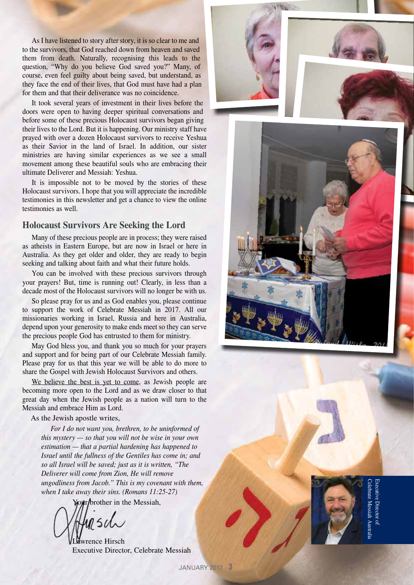As I have listened to story after story, it is so clear to me and to the survivors, that God reached down from heaven and saved them from death. Naturally, recognising this leads to the question, "Why do you believe God saved you?" Many, of course, even feel guilty about being saved, but understand, as they face the end of their lives, that God must have had a plan for them and that their deliverance was no coincidence.

It took several years of investment in their lives before the doors were open to having deeper spiritual conversations and before some of these precious Holocaust survivors began giving their lives to the Lord. But it is happening. Our ministry staff have prayed with over a dozen Holocaust survivors to receive Yeshua as their Savior in the land of Israel. In addition, our sister ministries are having similar experiences as we see a small movement among these beautiful souls who are embracing their ultimate Deliverer and Messiah: Yeshua.

It is impossible not to be moved by the stories of these Holocaust survivors. I hope that you will appreciate the incredible testimonies in this newsletter and get a chance to view the online testimonies as well.

### **Holocaust Survivors Are Seeking the Lord**

Many of these precious people are in process; they were raised as atheists in Eastern Europe, but are now in Israel or here in Australia. As they get older and older, they are ready to begin seeking and talking about faith and what their future holds.

You can be involved with these precious survivors through your prayers! But, time is running out! Clearly, in less than a decade most of the Holocaust survivors will no longer be with us.

So please pray for us and as God enables you, please continue to support the work of Celebrate Messiah in 2017. All our missionaries working in Israel, Russia and here in Australia, depend upon your generosity to make ends meet so they can serve the precious people God has entrusted to them for ministry.

May God bless you, and thank you so much for your prayers and support and for being part of our Celebrate Messiah family. Please pray for us that this year we will be able to do more to share the Gospel with Jewish Holocaust Survivors and others.

We believe the best is yet to come, as Jewish people are becoming more open to the Lord and as we draw closer to that great day when the Jewish people as a nation will turn to the Messiah and embrace Him as Lord.

#### As the Jewish apostle writes,

*For I do not want you, brethren, to be uninformed of this mystery — so that you will not be wise in your own estimation — that a partial hardening has happened to Israel until the fullness of the Gentiles has come in; and so all Israel will be saved; just as it is written, "The Deliverer will come from Zion, He will remove ungodliness from Jacob." This is my covenant with them, when I take away their sins. (Romans 11:25-27)*

Your/brother in the Messiah,

wrence Hirsch Executive Director, Celebrate Messiah







### Celebrate Messiah Australia Executive Director ofxecutive Director of lebrate Messiah Austral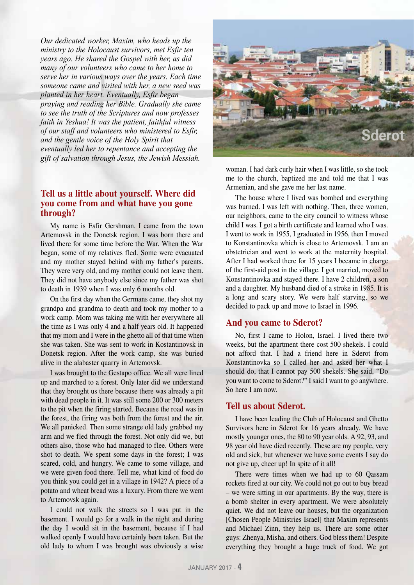*Our dedicated worker, Maxim, who heads up the ministry to the Holocaust survivors, met Esfir ten years ago. He shared the Gospel with her, as did many of our volunteers who came to her home to serve her in various ways over the years. Each time someone came and visited with her, a new seed was planted in her heart. Eventually, Esfir began praying and reading her Bible. Gradually she came to see the truth of the Scriptures and now professes faith in Yeshua! It was the patient, faithful witness of our staff and volunteers who ministered to Esfir, and the gentle voice of the Holy Spirit that eventually led her to repentance and accepting the gift of salvation through Jesus, the Jewish Messiah.* 

### **Tell us a little about yourself. Where did you come from and what have you gone through?**

My name is Esfir Gershman. I came from the town Artemovsk in the Donetsk region. I was born there and lived there for some time before the War. When the War began, some of my relatives fled. Some were evacuated and my mother stayed behind with my father's parents. They were very old, and my mother could not leave them. They did not have anybody else since my father was shot to death in 1939 when I was only 6 months old.

On the first day when the Germans came, they shot my grandpa and grandma to death and took my mother to a work camp. Mom was taking me with her everywhere all the time as I was only 4 and a half years old. It happened that my mom and I were in the ghetto all of that time when she was taken. She was sent to work in Kostantinovsk in Donetsk region. After the work camp, she was buried alive in the alabaster quarry in Artemovsk.

I was brought to the Gestapo office. We all were lined up and marched to a forest. Only later did we understand that they brought us there because there was already a pit with dead people in it. It was still some 200 or 300 meters to the pit when the firing started. Because the road was in the forest, the firing was both from the forest and the air. We all panicked. Then some strange old lady grabbed my arm and we fled through the forest. Not only did we, but others also, those who had managed to flee. Others were shot to death. We spent some days in the forest; I was scared, cold, and hungry. We came to some village, and we were given food there. Tell me, what kind of food do you think you could get in a village in 1942? A piece of a potato and wheat bread was a luxury. From there we went to Artemovsk again.

I could not walk the streets so I was put in the basement. I would go for a walk in the night and during the day I would sit in the basement, because if I had walked openly I would have certainly been taken. But the old lady to whom I was brought was obviously a wise



woman. I had dark curly hair when I was little, so she took me to the church, baptized me and told me that I was Armenian, and she gave me her last name.

The house where I lived was bombed and everything was burned. I was left with nothing. Then, three women, our neighbors, came to the city council to witness whose child I was. I got a birth certificate and learned who I was. I went to work in 1955, I graduated in 1956, then I moved to Konstantinovka which is close to Artemovsk. I am an obstetrician and went to work at the maternity hospital. After I had worked there for 15 years I became in charge of the first-aid post in the village. I got married, moved to Konstantinovka and stayed there. I have 2 children, a son and a daughter. My husband died of a stroke in 1985. It is a long and scary story. We were half starving, so we decided to pack up and move to Israel in 1996.

### **And you came to Sderot?**

No, first I came to Holon, Israel. I lived there two weeks, but the apartment there cost 500 shekels. I could not afford that. I had a friend here in Sderot from Konstantinovka so I called her and asked her what I should do, that I cannot pay 500 shekels. She said, "Do you want to come to Sderot?" I said I want to go anywhere. So here I am now.

### **Tell us about Sderot.**

I have been leading the Club of Holocaust and Ghetto Survivors here in Sderot for 16 years already. We have mostly younger ones, the 80 to 90 year olds. A 92, 93, and 98 year old have died recently. These are my people, very old and sick, but whenever we have some events I say do not give up, cheer up! In spite of it all!

There were times when we had up to 60 Qassam rockets fired at our city. We could not go out to buy bread – we were sitting in our apartments. By the way, there is a bomb shelter in every apartment. We were absolutely quiet. We did not leave our houses, but the organization [Chosen People Ministries Israel] that Maxim represents and Michael Zinn, they help us. There are some other guys: Zhenya, Misha, and others. God bless them! Despite everything they brought a huge truck of food. We got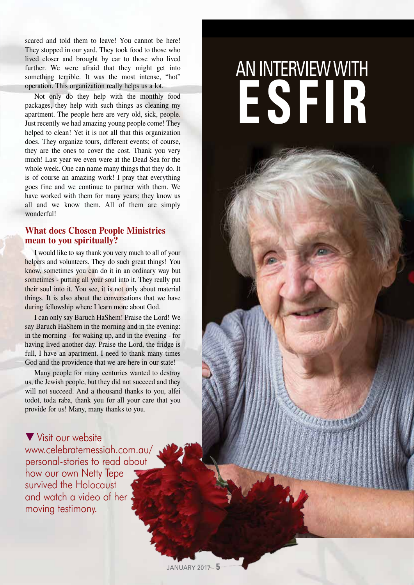scared and told them to leave! You cannot be here! They stopped in our yard. They took food to those who lived closer and brought by car to those who lived further. We were afraid that they might get into something terrible. It was the most intense, "hot" operation. This organization really helps us a lot.

Not only do they help with the monthly food packages, they help with such things as cleaning my apartment. The people here are very old, sick, people. Just recently we had amazing young people come! They helped to clean! Yet it is not all that this organization does. They organize tours, different events; of course, they are the ones to cover the cost. Thank you very much! Last year we even were at the Dead Sea for the whole week. One can name many things that they do. It is of course an amazing work! I pray that everything goes fine and we continue to partner with them. We have worked with them for many years; they know us all and we know them. All of them are simply wonderful!

### **What does Chosen People Ministries mean to you spiritually?**

I would like to say thank you very much to all of your helpers and volunteers. They do such great things! You know, sometimes you can do it in an ordinary way but sometimes - putting all your soul into it. They really put their soul into it. You see, it is not only about material things. It is also about the conversations that we have during fellowship where I learn more about God.

I can only say Baruch HaShem! Praise the Lord! We say Baruch HaShem in the morning and in the evening: in the morning - for waking up, and in the evening - for having lived another day. Praise the Lord, the fridge is full, I have an apartment. I need to thank many times God and the providence that we are here in our state!

Many people for many centuries wanted to destroy us, the Jewish people, but they did not succeed and they will not succeed. And a thousand thanks to you, alfei todot, toda raba, thank you for all your care that you provide for us! Many, many thanks to you.

 $\blacktriangledown$  Visit our website www.celebratemessiah.com.au/ personal-stories to read about how our own Netty Tepe survived the Holocaust and watch a video of her moving testimony.

## AN INTERVIEW WITH **ESFIR**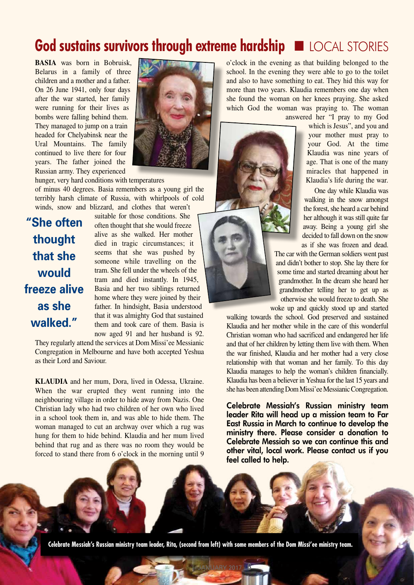### God sustains survivors through extreme hardship **EXP LOCAL STORIES**

**BASIA** was born in Bobruisk, Belarus in a family of three children and a mother and a father. On 26 June 1941, only four days after the war started, her family were running for their lives as bombs were falling behind them. They managed to jump on a train headed for Chelyabinsk near the Ural Mountains. The family continued to live there for four years. The father joined the Russian army. They experienced



hunger, very hard conditions with temperatures of minus 40 degrees. Basia remembers as a young girl the terribly harsh climate of Russia, with whirlpools of cold winds, snow and blizzard, and clothes that weren't

**"She often thought that she would freeze alive as she walked."**

suitable for those conditions. She often thought that she would freeze alive as she walked. Her mother died in tragic circumstances; it seems that she was pushed by someone while travelling on the tram. She fell under the wheels of the tram and died instantly. In 1945, Basia and her two siblings returned home where they were joined by their father. In hindsight, Basia understood that it was almighty God that sustained them and took care of them. Basia is now aged 91 and her husband is 92.

They regularly attend the services at Dom Missi'ee Messianic Congregation in Melbourne and have both accepted Yeshua as their Lord and Saviour.

**KLAUDIA** and her mum, Dora, lived in Odessa, Ukraine. When the war erupted they went running into the neighbouring village in order to hide away from Nazis. One Christian lady who had two children of her own who lived in a school took them in, and was able to hide them. The woman managed to cut an archway over which a rug was hung for them to hide behind. Klaudia and her mum lived behind that rug and as there was no room they would be forced to stand there from 6 o'clock in the morning until 9 o'clock in the evening as that building belonged to the school. In the evening they were able to go to the toilet and also to have something to eat. They hid this way for more than two years. Klaudia remembers one day when she found the woman on her knees praying. She asked which God the woman was praying to. The woman

answered her "I pray to my God which is Jesus", and you and your mother must pray to your God. At the time Klaudia was nine years of age. That is one of the many miracles that happened in Klaudia's life during the war.

> One day while Klaudia was walking in the snow amongst the forest, she heard a car behind her although it was still quite far away. Being a young girl she decided to fall down on the snow as if she was frozen and dead.

The car with the German soldiers went past and didn't bother to stop. She lay there for some time and started dreaming about her grandmother. In the dream she heard her grandmother telling her to get up as otherwise she would freeze to death. She woke up and quickly stood up and started

walking towards the school. God preserved and sustained Klaudia and her mother while in the care of this wonderful Christian woman who had sacrificed and endangered her life and that of her children by letting them live with them. When the war finished, Klaudia and her mother had a very close relationship with that woman and her family. To this day Klaudia manages to help the woman's children financially. Klaudia has been a believer in Yeshua for the last 15 years and she has been attending Dom Missi'ee Messianic Congregation.

Celebrate Messiah's Russian ministry team leader Rita will head up a mission team to Far East Russia in March to continue to develop the ministry there. Please consider a donation to Celebrate Messiah so we can continue this and other vital, local work. Please contact us if you feel called to help.

**Celebrate Messiah's Russian ministry team leader, Rita, (second from left) with some members of the Dom Missi'ee ministry team.**

JANUARY 2017 - **6**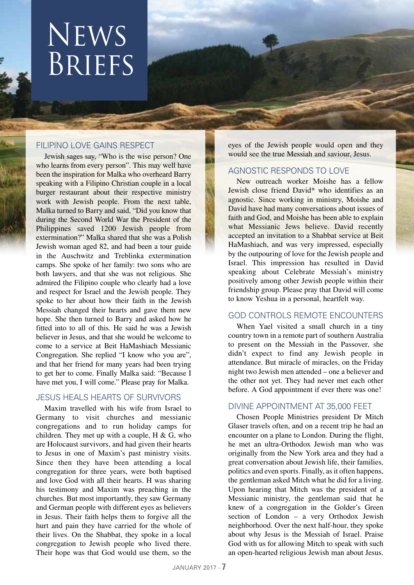## News **BRIEFS**

### FILIPINO LOVE GAINS RESPECT

Jewish sages say, "Who is the wise person? One who learns from every person". This may well have been the inspiration for Malka who overheard Barry speaking with a Filipino Christian couple in a local burger restaurant about their respective ministry work with Jewish people. From the next table, Malka turned to Barry and said, "Did you know that during the Second World War the President of the Philippines saved 1200 Jewish people from extermination?" Malka shared that she was a Polish Jewish woman aged 82, and had been a tour guide in the Auschwitz and Treblinka extermination camps. She spoke of her family: two sons who are both lawyers, and that she was not religious. She admired the Filipino couple who clearly had a love and respect for Israel and the Jewish people. They spoke to her about how their faith in the Jewish Messiah changed their hearts and gave them new hope. She then turned to Barry and asked how he fitted into to all of this. He said he was a Jewish believer in Jesus, and that she would be welcome to come to a service at Beit HaMashiach Messianic Congregation. She replied "I know who you are", and that her friend for many years had been trying to get her to come. Finally Malka said: "Because I have met you, I will come." Please pray for Malka.

### JESUS HEALS HEARTS OF SURVIVORS

Maxim travelled with his wife from Israel to Germany to visit churches and messianic congregations and to run holiday camps for children. They met up with a couple,  $H \& G$ , who are Holocaust survivors, and had given their hearts to Jesus in one of Maxim's past ministry visits. Since then they have been attending a local congregation for three years, were both baptised and love God with all their hearts. H was sharing his testimony and Maxim was preaching in the churches. But most importantly, they saw Germany and German people with different eyes as believers in Jesus. Their faith helps them to forgive all the hurt and pain they have carried for the whole of their lives. On the Shabbat, they spoke in a local congregation to Jewish people who lived there. Their hope was that God would use them, so the

eyes of the Jewish people would open and they would see the true Messiah and saviour, Jesus.

### AGNOSTIC RESPONDS TO LOVE

New outreach worker Moishe has a fellow Jewish close friend David\* who identifies as an agnostic. Since working in ministry, Moishe and David have had many conversations about issues of faith and God, and Moishe has been able to explain what Messianic Jews believe. David recently accepted an invitation to a Shabbat service at Beit HaMashiach, and was very impressed, especially by the outpouring of love for the Jewish people and Israel. This impression has resulted in David speaking about Celebrate Messiah's ministry positively among other Jewish people within their friendship group. Please pray that David will come to know Yeshua in a personal, heartfelt way.

### GOD CONTROLS REMOTE ENCOUNTERS

When Yael visited a small church in a tiny country town in a remote part of southern Australia to present on the Messiah in the Passover, she didn't expect to find any Jewish people in attendance. But miracle of miracles, on the Friday night two Jewish men attended – one a believer and the other not yet. They had never met each other before. A God appointment if ever there was one!

### DIVINE APPOINTMENT AT 35,000 FEET

Chosen People Ministries president Dr Mitch Glaser travels often, and on a recent trip he had an encounter on a plane to London. During the flight, he met an ultra-Orthodox Jewish man who was originally from the New York area and they had a great conversation about Jewish life, their families, politics and even sports. Finally, as it often happens, the gentleman asked Mitch what he did for a living. Upon hearing that Mitch was the president of a Messianic ministry, the gentleman said that he knew of a congregation in the Golder's Green section of London – a very Orthodox Jewish neighborhood. Over the next half-hour, they spoke about why Jesus is the Messiah of Israel. Praise God with us for allowing Mitch to speak with such an open-hearted religious Jewish man about Jesus.